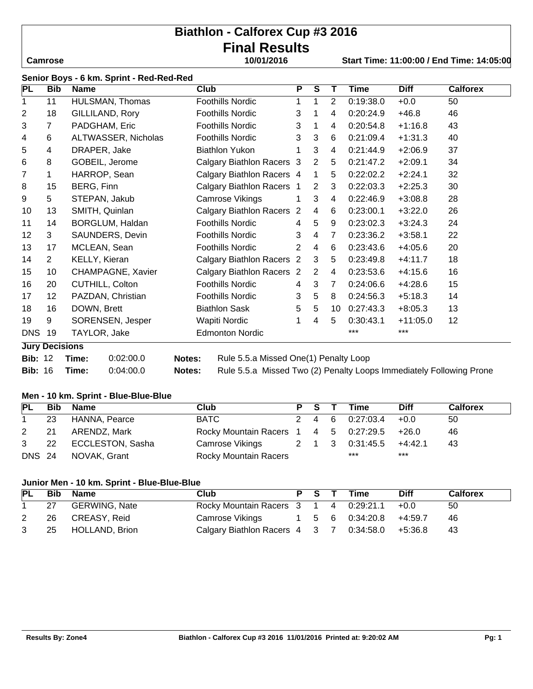# **Biathlon - Calforex Cup #3 2016 Final Results**

# **Camrose 10/01/2016 Start Time: 11:00:00 / End Time: 14:05:00**

| PL             | <b>Bib</b>                             | <b>Name</b>         | <b>Club</b>               | P | S              | Т              | Time      | <b>Diff</b> | <b>Calforex</b> |
|----------------|----------------------------------------|---------------------|---------------------------|---|----------------|----------------|-----------|-------------|-----------------|
| 1              | 11                                     | HULSMAN, Thomas     | <b>Foothills Nordic</b>   | 1 | 1              | $\overline{2}$ | 0:19:38.0 | $+0.0$      | 50              |
| $\overline{2}$ | 18                                     | GILLILAND, Rory     | <b>Foothills Nordic</b>   | 3 | 1              | 4              | 0:20:24.9 | $+46.8$     | 46              |
| 3              | 7                                      | PADGHAM, Eric       | <b>Foothills Nordic</b>   | 3 | 1              | 4              | 0:20:54.8 | $+1:16.8$   | 43              |
| 4              | 6                                      | ALTWASSER, Nicholas | <b>Foothills Nordic</b>   | 3 | 3              | 6              | 0:21:09.4 | $+1:31.3$   | 40              |
| 5              | 4                                      | DRAPER, Jake        | <b>Biathlon Yukon</b>     |   | 3              | 4              | 0:21:44.9 | $+2:06.9$   | 37              |
| 6              | 8                                      | GOBEIL, Jerome      | Calgary Biathlon Racers 3 |   | $\overline{2}$ | 5              | 0:21:47.2 | $+2:09.1$   | 34              |
| 7              | 1                                      | HARROP, Sean        | Calgary Biathlon Racers 4 |   | $\mathbf 1$    | 5              | 0:22:02.2 | $+2:24.1$   | 32              |
| 8              | 15                                     | BERG, Finn          | Calgary Biathlon Racers 1 |   | 2              | 3              | 0:22:03.3 | $+2:25.3$   | 30              |
| 9              | 5                                      | STEPAN, Jakub       | Camrose Vikings           |   | 3              | 4              | 0:22:46.9 | $+3:08.8$   | 28              |
| 10             | 13                                     | SMITH, Quinlan      | Calgary Biathlon Racers 2 |   | 4              | 6              | 0:23:00.1 | $+3:22.0$   | 26              |
| 11             | 14                                     | BORGLUM, Haldan     | <b>Foothills Nordic</b>   | 4 | 5              | 9              | 0:23:02.3 | $+3:24.3$   | 24              |
| 12             | 3                                      | SAUNDERS, Devin     | <b>Foothills Nordic</b>   | 3 | $\overline{4}$ | $\overline{7}$ | 0:23:36.2 | $+3:58.1$   | 22              |
| 13             | 17                                     | MCLEAN, Sean        | <b>Foothills Nordic</b>   | 2 | 4              | 6              | 0:23:43.6 | $+4:05.6$   | 20              |
| 14             | $\overline{2}$                         | KELLY, Kieran       | Calgary Biathlon Racers 2 |   | 3              | 5              | 0:23:49.8 | $+4:11.7$   | 18              |
| 15             | 10                                     | CHAMPAGNE, Xavier   | Calgary Biathlon Racers 2 |   | 2              | 4              | 0:23:53.6 | $+4:15.6$   | 16              |
| 16             | 20                                     | CUTHILL, Colton     | <b>Foothills Nordic</b>   | 4 | 3              | 7              | 0:24:06.6 | $+4:28.6$   | 15              |
| 17             | 12 <sup>2</sup>                        | PAZDAN, Christian   | <b>Foothills Nordic</b>   | 3 | 5              | 8              | 0:24:56.3 | $+5:18.3$   | 14              |
| 18             | 16                                     | DOWN, Brett         | <b>Biathlon Sask</b>      | 5 | 5              | 10             | 0:27:43.3 | $+8:05.3$   | 13              |
| 19             | 9                                      | SORENSEN, Jesper    | Wapiti Nordic             | 1 | 4              | 5              | 0:30:43.1 | $+11:05.0$  | 12              |
| <b>DNS</b>     | 19                                     | TAYLOR, Jake        | <b>Edmonton Nordic</b>    |   |                |                | $***$     | ***         |                 |
|                | <b>Jury Decisions</b>                  |                     |                           |   |                |                |           |             |                 |
|                | -------<br>$\sim$ $\sim$ $\sim$ $\sim$ |                     |                           |   |                |                |           |             |                 |

**Bib:** 12 **Time:** 0:02:00.0 **Notes:** Rule 5.5.a Missed One(1) Penalty Loop

**Bib:** 16 **Time:** 0:04:00.0 **Notes:** Rule 5.5.a Missed Two (2) Penalty Loops Immediately Following Prone

#### **Men - 10 km. Sprint - Blue-Blue-Blue**

| <b>PL</b> | Bib  | Name                  | Club                                        |  | PS T | Time                                           | <b>Diff</b> | <b>Calforex</b> |
|-----------|------|-----------------------|---------------------------------------------|--|------|------------------------------------------------|-------------|-----------------|
|           | 23   | HANNA, Pearce         | <b>BATC</b>                                 |  |      | $2 \quad 4 \quad 6 \quad 0:27:03.4 \quad +0.0$ |             | 50              |
| 2         | - 21 | ARENDZ, Mark          | Rocky Mountain Racers 1 4 5 0:27:29.5 +26.0 |  |      |                                                |             | 46              |
|           |      | 3 22 ECCLESTON, Sasha | Camrose Vikings 2 1 3 0:31:45.5             |  |      |                                                | $+4:42.1$   | 43              |
|           |      | DNS 24 NOVAK, Grant   | Rocky Mountain Racers                       |  |      | ***                                            | ***         |                 |

#### **Junior Men - 10 km. Sprint - Blue-Blue-Blue**

| PL | Bib | <b>Name</b>          | Club                                                                      | PS T | Time | <b>Diff</b> | <b>Calforex</b> |
|----|-----|----------------------|---------------------------------------------------------------------------|------|------|-------------|-----------------|
|    | 27  | <b>GERWING, Nate</b> | Rocky Mountain Racers 3 1 4 0:29:21.1 +0.0                                |      |      |             | 50              |
|    |     | 26 CREASY, Reid      | Camrose Vikings 1 5 6 0:34:20.8 +4:59.7                                   |      |      |             | -46             |
|    |     | 25 HOLLAND, Brion    | Calgary Biathlon Racers $4 \quad 3 \quad 7 \quad 0.34.58.0 \quad +5.36.8$ |      |      |             | -43             |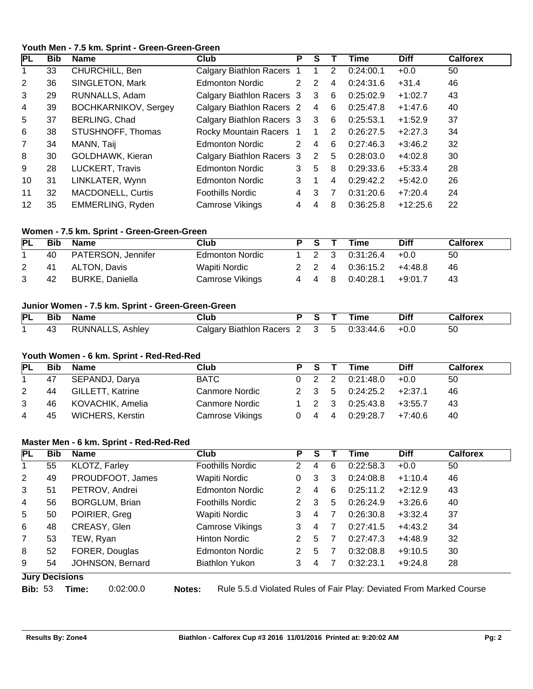# **Youth Men - 7.5 km. Sprint - Green-Green-Green**

| IPL            | <b>Bib</b> | <b>Name</b>                 | Club                           | P  |   |    | Time      | <b>Diff</b> | <b>Calforex</b> |
|----------------|------------|-----------------------------|--------------------------------|----|---|----|-----------|-------------|-----------------|
|                | 33         | CHURCHILL, Ben              | <b>Calgary Biathlon Racers</b> |    |   | 2  | 0:24:00.1 | $+0.0$      | 50              |
| 2              | 36         | SINGLETON, Mark             | <b>Edmonton Nordic</b>         | 2  | 2 | 4  | 0:24:31.6 | $+31.4$     | 46              |
| 3              | 29         | RUNNALLS, Adam              | Calgary Biathlon Racers 3      |    | 3 | 6  | 0:25:02.9 | $+1:02.7$   | 43              |
| 4              | 39         | <b>BOCHKARNIKOV, Sergey</b> | Calgary Biathlon Racers 2      |    | 4 | -6 | 0:25:47.8 | $+1:47.6$   | 40              |
| 5              | 37         | BERLING, Chad               | Calgary Biathlon Racers 3      |    | 3 | 6  | 0:25:53.1 | $+1:52.9$   | 37              |
| 6              | 38         | STUSHNOFF, Thomas           | Rocky Mountain Racers          |    |   | 2  | 0:26:27.5 | $+2:27.3$   | 34              |
| $\overline{7}$ | 34         | MANN, Taij                  | <b>Edmonton Nordic</b>         | 2. | 4 | 6  | 0:27:46.3 | $+3:46.2$   | 32              |
| 8              | 30         | GOLDHAWK, Kieran            | Calgary Biathlon Racers 3      |    | 2 | 5  | 0:28:03.0 | $+4:02.8$   | 30              |
| 9              | 28         | <b>LUCKERT, Travis</b>      | <b>Edmonton Nordic</b>         | 3  | 5 | 8  | 0:29:33.6 | $+5:33.4$   | 28              |
| 10             | 31         | LINKLATER, Wynn             | <b>Edmonton Nordic</b>         | 3  |   | 4  | 0:29:42.2 | $+5:42.0$   | 26              |
| 11             | 32         | <b>MACDONELL, Curtis</b>    | <b>Foothills Nordic</b>        | 4  | 3 | 7  | 0:31:20.6 | $+7:20.4$   | 24              |
| 12             | 35         | EMMERLING, Ryden            | Camrose Vikings                | 4  | 4 | 8  | 0:36:25.8 | $+12:25.6$  | 22              |

#### **Women - 7.5 km. Sprint - Green-Green-Green**

| PL | Bib | Name               | Club                   | PS T              | <b>Time</b> | <b>Diff</b> | <b>Calforex</b> |
|----|-----|--------------------|------------------------|-------------------|-------------|-------------|-----------------|
|    | 40  | PATERSON, Jennifer | <b>Edmonton Nordic</b> | $1\quad 2\quad 3$ | 0:31:26.4   | $+0.0$      | 50              |
|    | -41 | ALTON, Davis       | Wapiti Nordic          | 2 2 4             | 0:36:15.2   | $+4.48.8$   | 46              |
|    | 42  | BURKE, Daniella    | Camrose Vikings        | 4 4 8             | 0:40:28.1   | $+9:01.7$   | 43              |

#### **Junior Women - 7.5 km. Sprint - Green-Green-Green**

| PL | <b>Bib</b> | Name                    | Club                    |  |        | Гіmе      | Diff   | Calforex |
|----|------------|-------------------------|-------------------------|--|--------|-----------|--------|----------|
|    | 43         | <b>RUNNALLS, Ashley</b> | Calgary Biathlon Racers |  | - 2357 | 0:33:44.6 | $+0.0$ | ხ∪       |

# **Youth Women - 6 km. Sprint - Red-Red-Red**

| PL | <b>Bib</b> | Name                    | Club                  | PS T                | Time            | <b>Diff</b> | <b>Calforex</b> |
|----|------------|-------------------------|-----------------------|---------------------|-----------------|-------------|-----------------|
|    | 47         | SEPANDJ, Darya          | <b>BATC</b>           | $0\quad 2\quad 2$   | 0:21:48.0       | $+0.0$      | 50              |
| 2  | 44         | <b>GILLETT, Katrine</b> | <b>Canmore Nordic</b> |                     | 2 3 5 0:24:25.2 | $+2:37.1$   | 46              |
| 3  | 46         | KOVACHIK, Amelia        | Canmore Nordic        | $1\quad 2\quad 3$   | 0:25:43.8       | $+3:55.7$   | -43             |
| 4  | 45         | <b>WICHERS, Kerstin</b> | Camrose Vikings       | $0 \quad 4 \quad 4$ | 0:29:28.7       | $+7:40.6$   | 40              |

#### **Master Men - 6 km. Sprint - Red-Red-Red**

| <b>PL</b>      | <b>Bib</b>            | <b>Name</b>           | <b>Club</b>             | P | S |   | Time      | <b>Diff</b> | <b>Calforex</b> |
|----------------|-----------------------|-----------------------|-------------------------|---|---|---|-----------|-------------|-----------------|
| 1.             | 55                    | KLOTZ, Farley         | Foothills Nordic        | 2 | 4 | 6 | 0:22:58.3 | $+0.0$      | 50              |
| 2              | 49                    | PROUDFOOT, James      | Wapiti Nordic           | 0 | 3 | 3 | 0:24:08.8 | $+1:10.4$   | 46              |
| 3              | 51                    | PETROV, Andrei        | <b>Edmonton Nordic</b>  |   | 4 | 6 | 0:25:11.2 | $+2:12.9$   | 43              |
| 4              | 56                    | <b>BORGLUM, Brian</b> | <b>Foothills Nordic</b> | 2 | 3 | 5 | 0:26:24.9 | $+3:26.6$   | 40              |
| 5              | 50                    | POIRIER, Greg         | Wapiti Nordic           | 3 | 4 |   | 0:26:30.8 | $+3:32.4$   | 37              |
| 6              | 48                    | CREASY, Glen          | Camrose Vikings         | 3 | 4 |   | 0:27:41.5 | $+4:43.2$   | 34              |
| $\overline{7}$ | 53                    | TEW, Ryan             | <b>Hinton Nordic</b>    | 2 | 5 |   | 0:27:47.3 | $+4:48.9$   | 32              |
| 8              | 52                    | FORER, Douglas        | <b>Edmonton Nordic</b>  | 2 | 5 |   | 0:32:08.8 | $+9:10.5$   | 30              |
| 9              | 54                    | JOHNSON, Bernard      | <b>Biathlon Yukon</b>   | 3 | 4 |   | 0:32:23.1 | $+9:24.8$   | 28              |
|                | <b>Jury Decisions</b> |                       |                         |   |   |   |           |             |                 |

**Bib:** 53 **Time:** 0:02:00.0 **Notes:** Rule 5.5.d Violated Rules of Fair Play: Deviated From Marked Course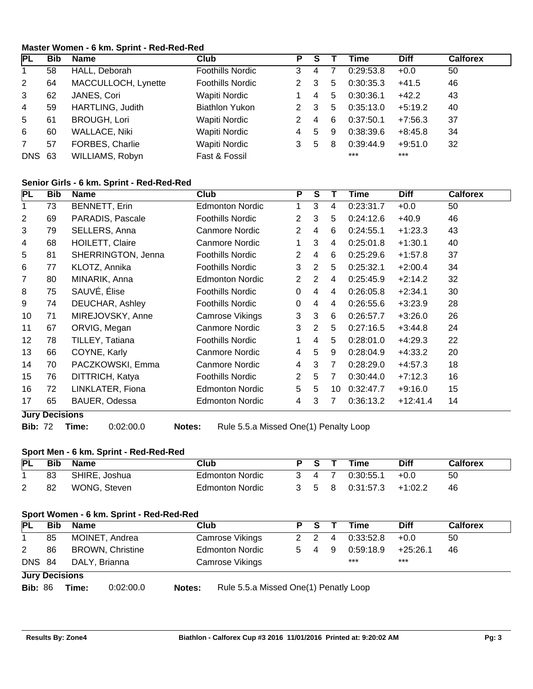# **Master Women - 6 km. Sprint - Red-Red-Red**

| IPL           | <b>Bib</b> | Name                    | <b>Club</b>             | Р |   |   | Time      | <b>Diff</b> | <b>Calforex</b> |
|---------------|------------|-------------------------|-------------------------|---|---|---|-----------|-------------|-----------------|
|               | 58         | HALL, Deborah           | <b>Foothills Nordic</b> | 3 | 4 |   | 0:29:53.8 | $+0.0$      | 50              |
| 2             | 64         | MACCULLOCH, Lynette     | <b>Foothills Nordic</b> |   | 3 | 5 | 0:30:35.3 | $+41.5$     | 46              |
| 3             | 62         | JANES, Cori             | Wapiti Nordic           |   | 4 | 5 | 0:30:36.1 | $+42.2$     | 43              |
| 4             | 59         | <b>HARTLING, Judith</b> | <b>Biathlon Yukon</b>   |   | 3 | 5 | 0:35:13.0 | $+5:19.2$   | 40              |
| 5             | 61         | <b>BROUGH, Lori</b>     | Wapiti Nordic           |   | 4 | 6 | 0:37:50.1 | $+7:56.3$   | 37              |
| 6             | 60         | <b>WALLACE, Niki</b>    | Wapiti Nordic           |   | 5 | 9 | 0:38:39.6 | $+8:45.8$   | 34              |
|               | 57         | FORBES, Charlie         | Wapiti Nordic           | 3 | 5 | 8 | 0:39:44.9 | $+9:51.0$   | 32              |
| <b>DNS 63</b> |            | WILLIAMS, Robyn         | Fast & Fossil           |   |   |   | $***$     | $***$       |                 |

# **Senior Girls - 6 km. Sprint - Red-Red-Red**

| PL | <b>Bib</b>            | <b>Name</b>            | Club                    | P              | $\overline{s}$ |    | Time      | <b>Diff</b> | <b>Calforex</b> |
|----|-----------------------|------------------------|-------------------------|----------------|----------------|----|-----------|-------------|-----------------|
| 1  | 73                    | BENNETT, Erin          | <b>Edmonton Nordic</b>  | 1              | 3              | 4  | 0:23:31.7 | $+0.0$      | 50              |
| 2  | 69                    | PARADIS, Pascale       | <b>Foothills Nordic</b> | $\overline{2}$ | 3              | 5  | 0:24:12.6 | $+40.9$     | 46              |
| 3  | 79                    | SELLERS, Anna          | Canmore Nordic          | $\overline{2}$ | 4              | 6  | 0:24:55.1 | $+1:23.3$   | 43              |
| 4  | 68                    | <b>HOILETT, Claire</b> | <b>Canmore Nordic</b>   | 1              | 3              | 4  | 0:25:01.8 | $+1:30.1$   | 40              |
| 5  | 81                    | SHERRINGTON, Jenna     | <b>Foothills Nordic</b> | $\overline{2}$ | 4              | 6  | 0:25:29.6 | $+1:57.8$   | 37              |
| 6  | 77                    | KLOTZ, Annika          | <b>Foothills Nordic</b> | 3              | 2              | 5  | 0:25:32.1 | $+2:00.4$   | 34              |
| 7  | 80                    | MINARIK, Anna          | <b>Edmonton Nordic</b>  | $\overline{2}$ | 2              | 4  | 0:25:45.9 | $+2:14.2$   | 32              |
| 8  | 75                    | SAUVÉ, Élise           | <b>Foothills Nordic</b> | $\Omega$       | 4              | 4  | 0:26:05.8 | $+2:34.1$   | 30              |
| 9  | 74                    | DEUCHAR, Ashley        | <b>Foothills Nordic</b> | 0              | 4              | 4  | 0:26:55.6 | $+3:23.9$   | 28              |
| 10 | 71                    | MIREJOVSKY, Anne       | Camrose Vikings         | 3              | 3              | 6  | 0:26:57.7 | $+3:26.0$   | 26              |
| 11 | 67                    | ORVIG, Megan           | Canmore Nordic          | 3              | 2              | 5  | 0:27:16.5 | $+3:44.8$   | 24              |
| 12 | 78                    | TILLEY, Tatiana        | <b>Foothills Nordic</b> | $\mathbf 1$    | 4              | 5  | 0:28:01.0 | $+4:29.3$   | 22              |
| 13 | 66                    | COYNE, Karly           | Canmore Nordic          | 4              | 5              | 9  | 0:28:04.9 | $+4:33.2$   | 20              |
| 14 | 70                    | PACZKOWSKI, Emma       | Canmore Nordic          | 4              | 3              | 7  | 0.28:29.0 | $+4:57.3$   | 18              |
| 15 | 76                    | DITTRICH, Katya        | <b>Foothills Nordic</b> | $\overline{2}$ | 5              | 7  | 0:30:44.0 | $+7:12.3$   | 16              |
| 16 | 72                    | LINKLATER, Fiona       | <b>Edmonton Nordic</b>  | 5              | 5              | 10 | 0:32:47.7 | $+9:16.0$   | 15              |
| 17 | 65                    | BAUER, Odessa          | <b>Edmonton Nordic</b>  | 4              | 3              | 7  | 0:36:13.2 | $+12:41.4$  | 14              |
|    | <b>Jury Decisions</b> |                        |                         |                |                |    |           |             |                 |

**Bib:** 72 **Time:** 0:02:00.0 **Notes:** Rule 5.5.a Missed One(1) Penalty Loop

# **Sport Men - 6 km. Sprint - Red-Red-Red**

| <b>PL</b> | <b>Bib</b> | <b>Name</b>   | Club            | S.                 |   | Time      | Diff      | <b>Calforex</b> |
|-----------|------------|---------------|-----------------|--------------------|---|-----------|-----------|-----------------|
|           | 83         | SHIRE, Joshua | Edmonton Nordic | $\mathbf{\Lambda}$ |   | 0:30:55.1 | $+0.0$    | 50              |
| 2         | 82         | WONG, Steven  | Edmonton Nordic |                    | 8 | 0:31:57.3 | $+1:02.2$ | 46              |

# **Sport Women - 6 km. Sprint - Red-Red-Red**

| PL            | <b>Bib</b>            | Name                    | Club                   | P S |       | $\mathbf{T}$   | Time      | <b>Diff</b> | <b>Calforex</b> |
|---------------|-----------------------|-------------------------|------------------------|-----|-------|----------------|-----------|-------------|-----------------|
|               | 85                    | MOINET, Andrea          | Camrose Vikings        | 2 2 |       | $\overline{4}$ | 0:33:52.8 | $+0.0$      | 50              |
| 2             | 86                    | <b>BROWN, Christine</b> | <b>Edmonton Nordic</b> |     | 5 4 9 |                | 0:59:18.9 | $+25:26.1$  | 46              |
| <b>DNS 84</b> |                       | DALY, Brianna           | Camrose Vikings        |     |       |                | $***$     | $***$       |                 |
|               | <b>Jury Decisions</b> |                         |                        |     |       |                |           |             |                 |

**Bib:** 86 **Time:** 0:02:00.0 **Notes:** Rule 5.5.a Missed One(1) Penatly Loop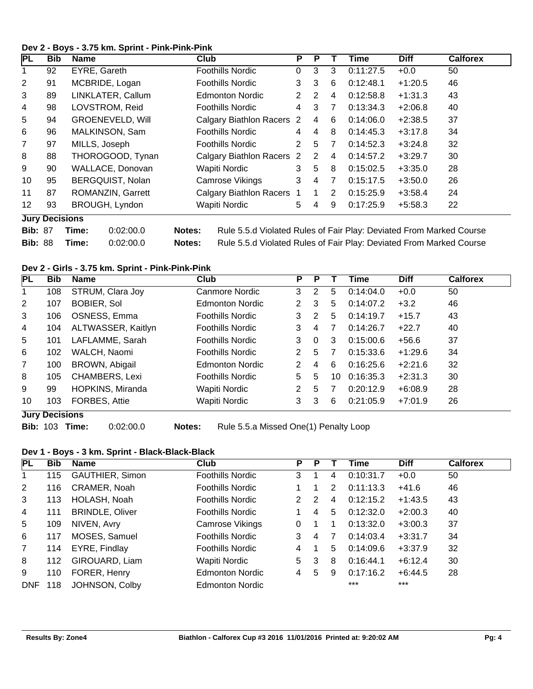# **Dev 2 - Boys - 3.75 km. Sprint - Pink-Pink-Pink**

| PL             | <b>Bib</b>            | Name                    | Club                           | P              | Р |                | Time      | <b>Diff</b> | <b>Calforex</b> |
|----------------|-----------------------|-------------------------|--------------------------------|----------------|---|----------------|-----------|-------------|-----------------|
| 1              | 92                    | EYRE, Gareth            | Foothills Nordic               | 0              | 3 | 3              | 0:11:27.5 | $+0.0$      | 50              |
| 2              | 91                    | MCBRIDE, Logan          | <b>Foothills Nordic</b>        | 3              | 3 | 6              | 0:12:48.1 | $+1:20.5$   | 46              |
| 3              | 89                    | LINKLATER, Callum       | <b>Edmonton Nordic</b>         | $\overline{2}$ | 2 | 4              | 0:12:58.8 | $+1:31.3$   | 43              |
| 4              | 98                    | LOVSTROM, Reid          | <b>Foothills Nordic</b>        | 4              | 3 | 7              | 0:13:34.3 | $+2:06.8$   | 40              |
| 5              | 94                    | <b>GROENEVELD, Will</b> | <b>Calgary Biathlon Racers</b> | -2             | 4 | 6              | 0:14:06.0 | $+2:38.5$   | 37              |
| 6              | 96                    | MALKINSON, Sam          | <b>Foothills Nordic</b>        | 4              | 4 | 8              | 0:14:45.3 | $+3:17.8$   | 34              |
| $\overline{7}$ | 97                    | MILLS, Joseph           | <b>Foothills Nordic</b>        | $\overline{2}$ | 5 | 7              | 0:14:52.3 | $+3:24.8$   | 32              |
| 8              | 88                    | THOROGOOD, Tynan        | <b>Calgary Biathlon Racers</b> | -2             | 2 | 4              | 0:14:57.2 | $+3:29.7$   | 30              |
| 9              | 90                    | WALLACE, Donovan        | Wapiti Nordic                  | 3              | 5 | 8              | 0:15:02.5 | $+3:35.0$   | 28              |
| 10             | 95                    | BERGQUIST, Nolan        | Camrose Vikings                | 3              | 4 | $\overline{7}$ | 0:15:17.5 | $+3:50.0$   | 26              |
| 11             | 87                    | ROMANZIN, Garrett       | <b>Calgary Biathlon Racers</b> |                |   | 2              | 0:15:25.9 | $+3:58.4$   | 24              |
| 12             | 93                    | BROUGH, Lyndon          | Wapiti Nordic                  | 5              | 4 | 9              | 0:17:25.9 | $+5:58.3$   | 22              |
|                | <b>Jury Decisions</b> |                         |                                |                |   |                |           |             |                 |

| <b>Bib: 87</b> | Time: | 0:02:00.0 | <b>Notes:</b> | Rule 5.5.d Violated Rules of Fair Play: Deviated From Marked Course |
|----------------|-------|-----------|---------------|---------------------------------------------------------------------|
| <b>Bib: 88</b> | Time: | 0:02:00.0 | <b>Notes:</b> | Rule 5.5.d Violated Rules of Fair Play: Deviated From Marked Course |

# **Dev 2 - Girls - 3.75 km. Sprint - Pink-Pink-Pink**

| <b>PL</b>      | <b>Bib</b>             | <b>Name</b>           | <b>Club</b>      | P              | P        |    | Time      | <b>Diff</b> | <b>Calforex</b> |
|----------------|------------------------|-----------------------|------------------|----------------|----------|----|-----------|-------------|-----------------|
| 1.             | 108                    | STRUM, Clara Joy      | Canmore Nordic   | 3              | 2        | 5  | 0:14:04.0 | $+0.0$      | 50              |
| 2              | 107                    | <b>BOBIER, Sol</b>    | Edmonton Nordic  | 2              | 3        | 5  | 0:14:07.2 | $+3.2$      | 46              |
| 3              | 106                    | OSNESS, Emma          | Foothills Nordic | 3              | 2        | 5  | 0:14:19.7 | $+15.7$     | 43              |
| 4              | 104                    | ALTWASSER, Kaitlyn    | Foothills Nordic | 3              | 4        |    | 0:14:26.7 | $+22.7$     | 40              |
| 5              | 101                    | LAFLAMME, Sarah       | Foothills Nordic | 3              | $\Omega$ | 3  | 0:15:00.6 | $+56.6$     | 37              |
| 6              | 102                    | WALCH, Naomi          | Foothills Nordic | 2              | 5        | 7  | 0:15:33.6 | $+1:29.6$   | 34              |
| $\overline{7}$ | 100                    | BROWN, Abigail        | Edmonton Nordic  | $\overline{2}$ | 4        | 6  | 0:16:25.6 | $+2:21.6$   | 32              |
| 8              | 105                    | <b>CHAMBERS, Lexi</b> | Foothills Nordic | 5              | 5        | 10 | 0:16:35.3 | $+2:31.3$   | 30              |
| 9              | 99                     | HOPKINS, Miranda      | Wapiti Nordic    | 2              | 5        |    | 0:20:12.9 | $+6:08.9$   | 28              |
| 10             | 103<br>Tomas Devisions | FORBES, Attie         | Wapiti Nordic    | 3              | 3        | 6  | 0:21:05.9 | $+7:01.9$   | 26              |

**Jury Decisions**

**Bib:** 103 **Time:** 0:02:00.0 **Notes:** Rule 5.5.a Missed One(1) Penalty Loop

# **Dev 1 - Boys - 3 km. Sprint - Black-Black-Black**

| PL             | <b>Bib</b> | Name                   | Club                    | P  | P |   | Time      | <b>Diff</b> | <b>Calforex</b> |
|----------------|------------|------------------------|-------------------------|----|---|---|-----------|-------------|-----------------|
|                | 115        | <b>GAUTHIER, Simon</b> | <b>Foothills Nordic</b> | 3  |   | 4 | 0:10:31.7 | $+0.0$      | 50              |
| $\overline{2}$ | 116        | CRAMER, Noah           | <b>Foothills Nordic</b> |    |   | 2 | 0:11:13.3 | $+41.6$     | 46              |
| 3              | 113        | HOLASH, Noah           | <b>Foothills Nordic</b> | 2  | 2 | 4 | 0:12:15.2 | $+1:43.5$   | 43              |
| 4              | 111        | <b>BRINDLE, Oliver</b> | <b>Foothills Nordic</b> |    | 4 | 5 | 0:12:32.0 | $+2:00.3$   | 40              |
| 5              | 109        | NIVEN, Avry            | Camrose Vikings         | 0  |   |   | 0:13:32.0 | $+3:00.3$   | 37              |
| 6              | 117        | MOSES, Samuel          | <b>Foothills Nordic</b> | 3  | 4 |   | 0:14:03.4 | $+3:31.7$   | 34              |
| $\overline{7}$ | 114        | EYRE, Findlay          | <b>Foothills Nordic</b> | 4  |   | 5 | 0:14:09.6 | $+3:37.9$   | 32              |
| 8              | 112        | GIROUARD, Liam         | Wapiti Nordic           | 5. | 3 | 8 | 0:16:44.1 | $+6:12.4$   | 30              |
| 9              | 110        | FORER, Henry           | <b>Edmonton Nordic</b>  | 4  | 5 | 9 | 0:17:16.2 | $+6:44.5$   | 28              |
| <b>DNF</b>     | 118        | JOHNSON, Colby         | <b>Edmonton Nordic</b>  |    |   |   | $***$     | $***$       |                 |